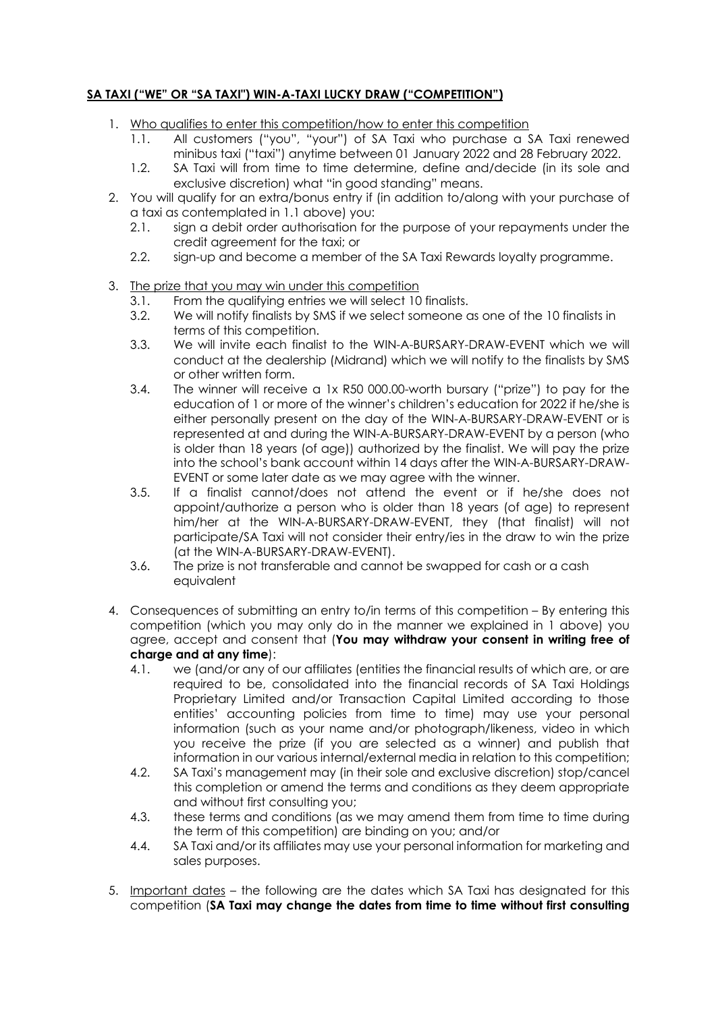## **SA TAXI ("WE" OR "SA TAXI") WIN-A-TAXI LUCKY DRAW ("COMPETITION")**

- 1. Who qualifies to enter this competition/how to enter this competition
	- 1.1. All customers ("you", "your") of SA Taxi who purchase a SA Taxi renewed minibus taxi ("taxi") anytime between 01 January 2022 and 28 February 2022.
	- 1.2. SA Taxi will from time to time determine, define and/decide (in its sole and exclusive discretion) what "in good standing" means.
- 2. You will qualify for an extra/bonus entry if (in addition to/along with your purchase of a taxi as contemplated in 1.1 above) you:
	- 2.1. sign a debit order authorisation for the purpose of your repayments under the credit agreement for the taxi; or
	- 2.2. sign-up and become a member of the SA Taxi Rewards loyalty programme.
- 3. The prize that you may win under this competition
	- 3.1. From the qualifying entries we will select 10 finalists.
	- 3.2. We will notify finalists by SMS if we select someone as one of the 10 finalists in terms of this competition.
	- 3.3. We will invite each finalist to the WIN-A-BURSARY-DRAW-EVENT which we will conduct at the dealership (Midrand) which we will notify to the finalists by SMS or other written form.
	- 3.4. The winner will receive a 1x R50 000.00-worth bursary ("prize") to pay for the education of 1 or more of the winner's children's education for 2022 if he/she is either personally present on the day of the WIN-A-BURSARY-DRAW-EVENT or is represented at and during the WIN-A-BURSARY-DRAW-EVENT by a person (who is older than 18 years (of age)) authorized by the finalist. We will pay the prize into the school's bank account within 14 days after the WIN-A-BURSARY-DRAW-EVENT or some later date as we may agree with the winner.
	- 3.5. If a finalist cannot/does not attend the event or if he/she does not appoint/authorize a person who is older than 18 years (of age) to represent him/her at the WIN-A-BURSARY-DRAW-EVENT, they (that finalist) will not participate/SA Taxi will not consider their entry/ies in the draw to win the prize (at the WIN-A-BURSARY-DRAW-EVENT).
	- 3.6. The prize is not transferable and cannot be swapped for cash or a cash equivalent
- 4. Consequences of submitting an entry to/in terms of this competition By entering this competition (which you may only do in the manner we explained in 1 above) you agree, accept and consent that (**You may withdraw your consent in writing free of charge and at any time**):
	- 4.1. we (and/or any of our affiliates (entities the financial results of which are, or are required to be, consolidated into the financial records of SA Taxi Holdings Proprietary Limited and/or Transaction Capital Limited according to those entities' accounting policies from time to time) may use your personal information (such as your name and/or photograph/likeness, video in which you receive the prize (if you are selected as a winner) and publish that information in our various internal/external media in relation to this competition;
	- 4.2. SA Taxi's management may (in their sole and exclusive discretion) stop/cancel this completion or amend the terms and conditions as they deem appropriate and without first consulting you;
	- 4.3. these terms and conditions (as we may amend them from time to time during the term of this competition) are binding on you; and/or
	- 4.4. SA Taxi and/or its affiliates may use your personal information for marketing and sales purposes.
- 5. Important dates the following are the dates which SA Taxi has designated for this competition (**SA Taxi may change the dates from time to time without first consulting**